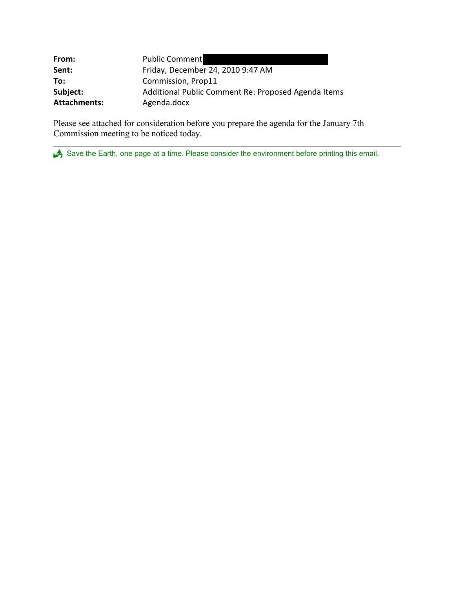| From:               | <b>Public Comment</b>                               |
|---------------------|-----------------------------------------------------|
| Sent:               | Friday, December 24, 2010 9:47 AM                   |
| To:                 | Commission, Prop11                                  |
| Subject:            | Additional Public Comment Re: Proposed Agenda Items |
| <b>Attachments:</b> | Agenda.docx                                         |

Please see attached for consideration before you prepare the agenda for the January 7th Commission meeting to be noticed today.

Save the Earth, one page at a time. Please consider the environment before printing this email.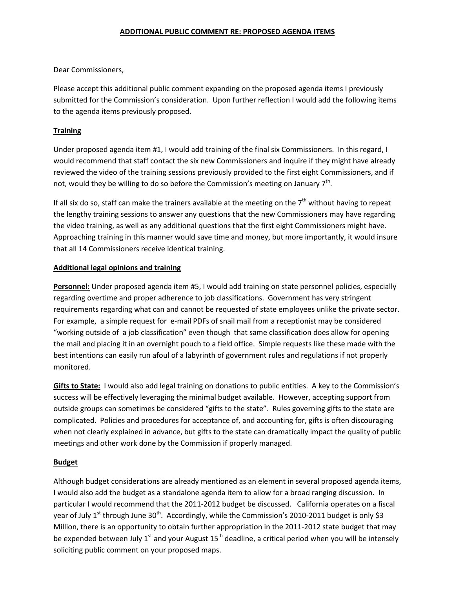### **ADDITIONAL PUBLIC COMMENT RE: PROPOSED AGENDA ITEMS**

Dear Commissioners,

Please accept this additional public comment expanding on the proposed agenda items I previously submitted for the Commission's consideration. Upon further reflection I would add the following items to the agenda items previously proposed.

# **Training**

Under proposed agenda item #1, I would add training of the final six Commissioners. In this regard, I would recommend that staff contact the six new Commissioners and inquire if they might have already reviewed the video of the training sessions previously provided to the first eight Commissioners, and if not, would they be willing to do so before the Commission's meeting on January  $7<sup>th</sup>$ .

If all six do so, staff can make the trainers available at the meeting on the  $7<sup>th</sup>$  without having to repeat the lengthy training sessions to answer any questions that the new Commissioners may have regarding the video training, as well as any additional questions that the first eight Commissioners might have. Approaching training in this manner would save time and money, but more importantly, it would insure that all 14 Commissioners receive identical training.

## **Additional legal opinions and training**

**Personnel:** Under proposed agenda item #5, I would add training on state personnel policies, especially regarding overtime and proper adherence to job classifications. Government has very stringent requirements regarding what can and cannot be requested of state employees unlike the private sector. For example, a simple request for e-mail PDFs of snail mail from a receptionist may be considered "working outside of a job classification" even though that same classification does allow for opening the mail and placing it in an overnight pouch to a field office. Simple requests like these made with the best intentions can easily run afoul of a labyrinth of government rules and regulations if not properly monitored.

**Gifts to State:** I would also add legal training on donations to public entities. A key to the Commission's success will be effectively leveraging the minimal budget available. However, accepting support from outside groups can sometimes be considered "gifts to the state". Rules governing gifts to the state are complicated. Policies and procedures for acceptance of, and accounting for, gifts is often discouraging when not clearly explained in advance, but gifts to the state can dramatically impact the quality of public meetings and other work done by the Commission if properly managed.

# **Budget**

Although budget considerations are already mentioned as an element in several proposed agenda items, I would also add the budget as a standalone agenda item to allow for a broad ranging discussion. In particular I would recommend that the 2011-2012 budget be discussed. California operates on a fiscal year of July 1<sup>st</sup> through June 30<sup>th</sup>. Accordingly, while the Commission's 2010-2011 budget is only \$3 Million, there is an opportunity to obtain further appropriation in the 2011-2012 state budget that may be expended between July  $1^{st}$  and your August  $15^{th}$  deadline, a critical period when you will be intensely soliciting public comment on your proposed maps.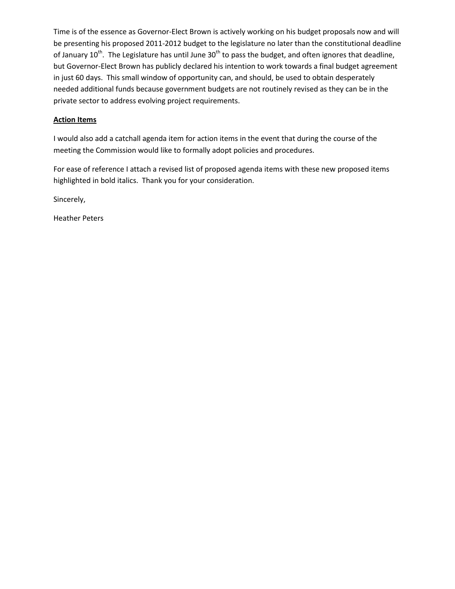Time is of the essence as Governor-Elect Brown is actively working on his budget proposals now and will be presenting his proposed 2011-2012 budget to the legislature no later than the constitutional deadline of January  $10^{th}$ . The Legislature has until June  $30^{th}$  to pass the budget, and often ignores that deadline, but Governor-Elect Brown has publicly declared his intention to work towards a final budget agreement in just 60 days. This small window of opportunity can, and should, be used to obtain desperately needed additional funds because government budgets are not routinely revised as they can be in the private sector to address evolving project requirements.

## **Action Items**

I would also add a catchall agenda item for action items in the event that during the course of the meeting the Commission would like to formally adopt policies and procedures.

For ease of reference I attach a revised list of proposed agenda items with these new proposed items highlighted in bold italics. Thank you for your consideration.

Sincerely,

Heather Peters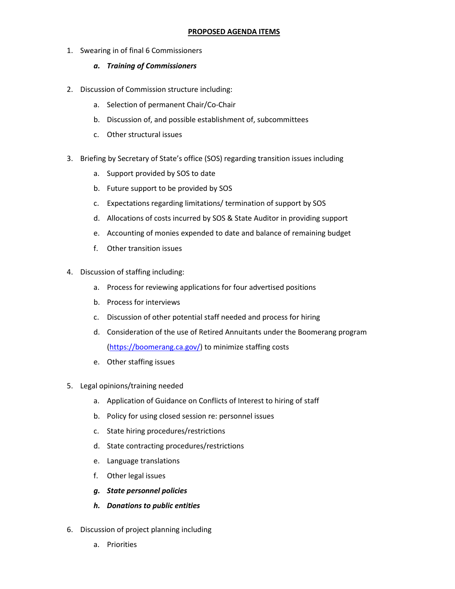1. Swearing in of final 6 Commissioners

# *a. Training of Commissioners*

- 2. Discussion of Commission structure including:
	- a. Selection of permanent Chair/Co-Chair
	- b. Discussion of, and possible establishment of, subcommittees
	- c. Other structural issues
- 3. Briefing by Secretary of State's office (SOS) regarding transition issues including
	- a. Support provided by SOS to date
	- b. Future support to be provided by SOS
	- c. Expectations regarding limitations/ termination of support by SOS
	- d. Allocations of costs incurred by SOS & State Auditor in providing support
	- e. Accounting of monies expended to date and balance of remaining budget
	- f. Other transition issues
- 4. Discussion of staffing including:
	- a. Process for reviewing applications for four advertised positions
	- b. Process for interviews
	- c. Discussion of other potential staff needed and process for hiring
	- d. Consideration of the use of Retired Annuitants under the Boomerang program [\(https://boomerang.ca.gov/\)](https://boomerang.ca.gov/) to minimize staffing costs
	- e. Other staffing issues
- 5. Legal opinions/training needed
	- a. Application of Guidance on Conflicts of Interest to hiring of staff
	- b. Policy for using closed session re: personnel issues
	- c. State hiring procedures/restrictions
	- d. State contracting procedures/restrictions
	- e. Language translations
	- f. Other legal issues
	- *g. State personnel policies*
	- *h. Donations to public entities*
- 6. Discussion of project planning including
	- a. Priorities